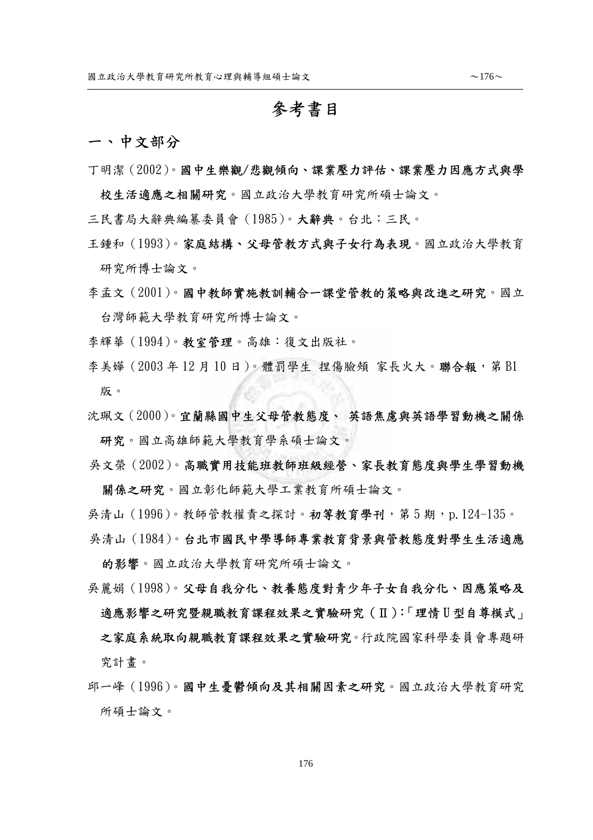## 參考書目

## 一、中文部分

 $\overline{a}$ 

丁明潔(2002)。國中生樂觀/悲觀傾向、課業壓力評估、課業壓力因應方式與學

校生活適應之相關研究。國立政治大學教育研究所碩士論文。

- 三民書局大辭典編纂委員會(1985)。大辭典。台北:三民。
- 王鍾和(1993)。家庭結構、父母管教方式與子女行為表現。國立政治大學教育 研究所博士論文。
- 李孟文(2001)。國中教師實施教訓輔合一課堂管教的策略與改進之研究。國立 台灣師範大學教育研究所博士論文。
- 李輝華(1994)。教室管理。高雄:復文出版社。
- 李美嬅 (2003 年 12 月 10 日)。體罰學生 捏傷臉頰 家長火大。聯合報,第 B1 版。
- 沈珮文(2000)。宜蘭縣國中生父母管教態度、 英語焦慮與英語學習動機之關係 研究。國立高雄師範大學教育學系碩士論文。
- 吳文榮(2002)。高職實用技能班教師班級經營、家長教育態度與學生學習動機

關係之研究。國立彰化師範大學工業教育所碩士論文。

吳清山 (1996)。教師管教權責之探討。初**第教育學刊**, 第 5 期, p.124-135。

吳清山(1984)。台北市國民中學導師專業教育背景與管教態度對學生生活適應 的影響。國立政治大學教育研究所碩士論文。

- 吳麗娟(1998)。父母自我分化、教養態度對青少年子女自我分化、因應策略及 適應影響之研究暨親職教育課程效果之實驗研究(Ⅱ):「理情 U 型自尊模式」 之家庭系統取向親職教育課程效果之實驗研究。行政院國家科學委員會專題研 究計畫。
- 邱一峰(1996)。國中生憂鬱傾向及其相關因素之研究。國立政治大學教育研究 所碩士論文。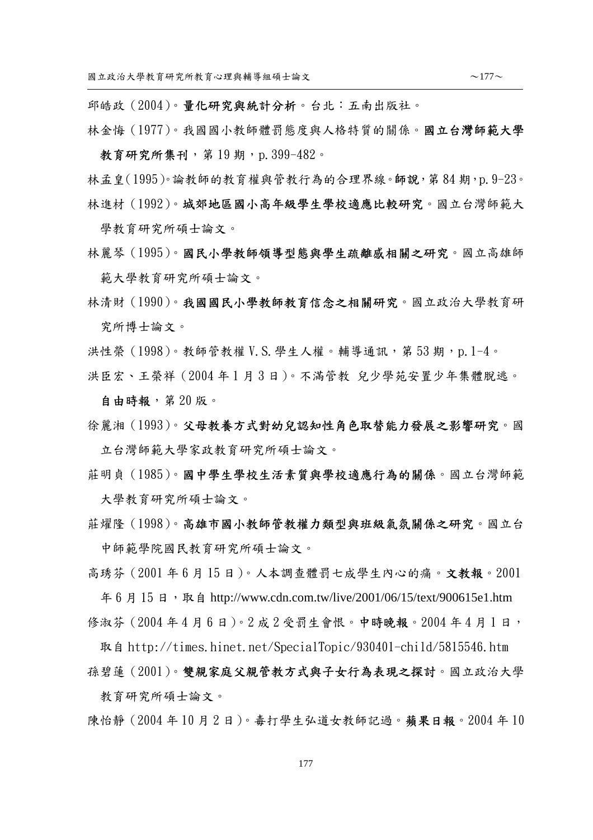邱皓政(2004)。量化研究與統計分析。台北:五南出版社。

- 林金悔(1977)。我國國小教師體罰態度與人格特質的關係。國立台灣師範大學 教育研究所集刊,第19期,p.399-482。
- 林孟皇(1995)。論教師的教育權與管教行為的合理界線。師說,第84期,p.9-23。 林進材(1992)。城郊地區國小高年級學生學校適應比較研究。國立台灣師範大 學教育研究所碩士論文。
- 林麗琴(1995)。國民小學教師領導型態與學生疏離感相關之研究。國立高雄師 範大學教育研究所碩士論文。
- 林清財(1990)。我國國民小學教師教育信念之相關研究。國立政治大學教育研 究所博士論文。
- 洪性榮(1998)。教師管教權 V.S. 學生人權。輔導通訊,第 53 期,p. 1-4。
- 洪臣宏、王榮祥(2004 年 1 月 3 日)。不滿管教 兒少學苑安置少年集體脫逃。
	- 自由時報,第 20 版。
- 徐麗湘(1993)。父母教養方式對幼兒認知性角色取替能力發展之影響研究。國 立台灣師範大學家政教育研究所碩士論文。
- 莊明貞(1985)。國中學生學校生活素質與學校適應行為的關係。國立台灣師範 大學教育研究所碩士論文。
- 莊燿隆(1998)。高雄市國小教師管教權力類型與班級氣氛關係之研究。國立台 中師範學院國民教育研究所碩士論文。
- 高琇芬(2001 年 6 月 15 日)。人本調查體罰七成學生內心的痛。文教報。2001 年 6 月 15 日, 取自 http://www.cdn.com.tw/live/2001/06/15/text/900615e1.htm 修淑芬 (2004年4月6日)。2 成 2 受罰生會恨。中時晚報。2004年4月1日,
- 取自 http://times.hinet.net/SpecialTopic/930401-child/5815546.htm
- 孫碧蓮(2001)。雙親家庭父親管教方式與子女行為表現之探討。國立政治大學 教育研究所碩士論文。

陳怡靜(2004 年 10 月 2 日)。毒打學生弘道女教師記過。蘋果日報。2004 年 10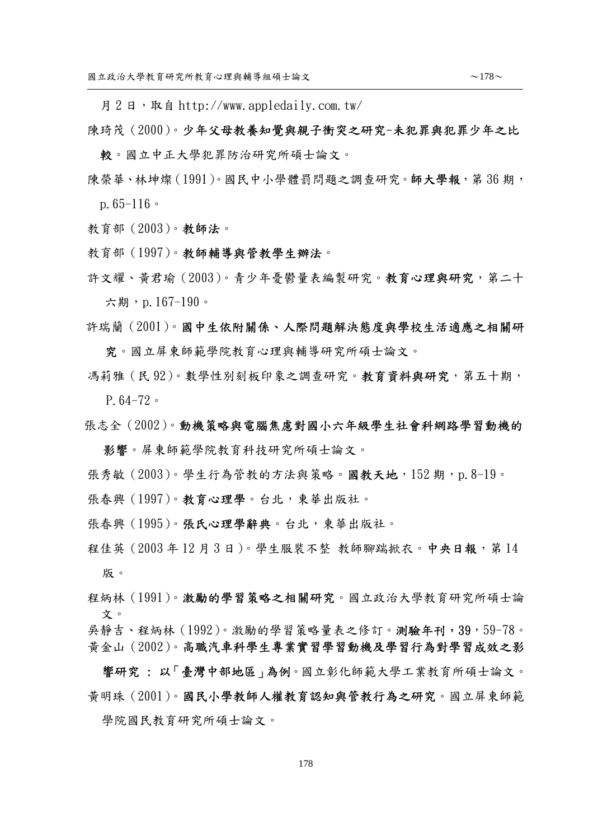月2日, 取自 http://www.appledaily.com.tw/

- 陳琦茂(2000)。少年父母教養知覺與親子衝突之研究-未犯罪與犯罪少年之比 較。國立中正大學犯罪防治研究所碩士論文。
- 陳榮華、林坤燦(1991)。國民中小學體罰問題之調查研究。師大學報,第 36 期, p.65-116。
- 教育部(2003)。教師法。

 $\overline{a}$ 

- 教育部(1997)。教師輔導與管教學生辦法。
- 許文耀、黃君瑜(2003)。青少年憂鬱量表編製研究。教育心理與研究,第二十 六期,p.167-190。
- 許瑞蘭(2001)。國中生依附關係、人際問題解決態度與學校生活適應之相關研 究。國立屏東師範學院教育心理與輔導研究所碩士論文。
- 馮莉雅(民 92)。數學性別刻板印象之調查研究。教育資料與研究,第五十期, P.64-72。
- 張志全(2002)。動機策略與電腦焦慮對國小六年級學生社會科網路學習動機的

影響。屏東師範學院教育科技研究所碩士論文。

- 張秀敏(2003)。學生行為管教的方法與策略。國教天地,152 期,p.8-19。
- 張春興(1997)。教育心理學。台北,東華出版社。
- 張春興(1995)。張氏心理學辭典。台北,東華出版社。
- 程佳英(2003年12月3日)。學生服裝不整 教師腳踹掀衣。中央日報,第14 版。
- 程炳林(1991)。激勵的學習策略之相關研究。國立政治大學教育研究所碩士論 文。
- 吳靜吉、程炳林(1992)。激勵的學習策略量表之修訂。測驗年刊,39,59-78。 黃金山(2002)。高職汽車科學生專業實習學習動機及學習行為對學習成效之影

響研究 : 以「臺灣中部地區」為例。國立彰化師範大學工業教育所碩士論文。 黃明珠(2001)。國民小學教師人權教育認知與管教行為之研究。國立屏東師範 學院國民教育研究所碩士論文。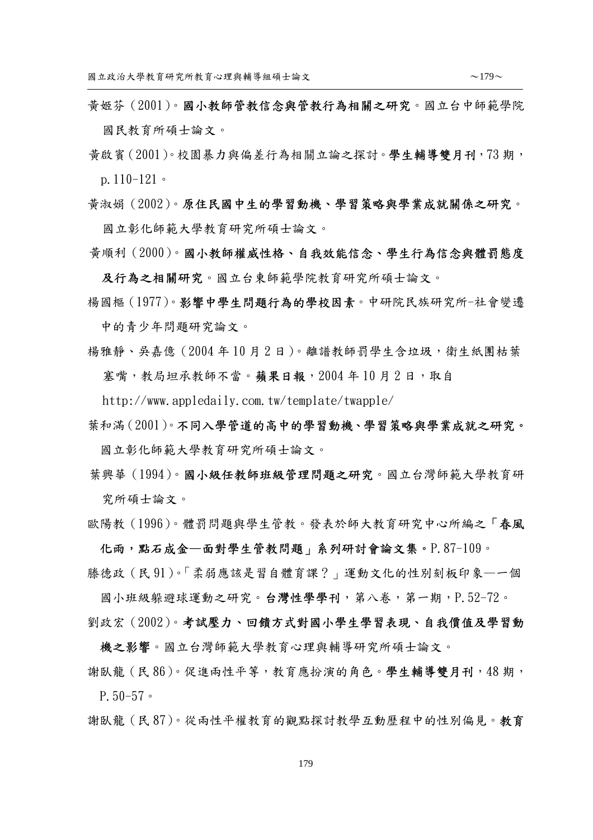- 黃姬芬(2001)。國小教師管教信念與管教行為相關之研究。國立台中師範學院 國民教育所碩士論文。
- 黃啟賓(2001)。校園暴力與偏差行為相關立論之探討。學生輔導雙月刊,73 期, p.110-121。
- 黃淑娟(2002)。原住民國中生的學習動機、學習策略與學業成就關係之研究。

國立彰化師範大學教育研究所碩士論文。

黃順利(2000)。國小教師權威性格、自我效能信念、學生行為信念與體罰態度

及行為之相關研究。國立台東師範學院教育研究所碩士論文。

楊國樞(1977)。影響中學生問題行為的學校因素。中研院民族研究所-社會變遷

中的青少年問題研究論文。

楊雅靜、吳嘉億(2004 年 10 月 2 日)。離譜教師罰學生含垃圾,衛生紙團枯葉 塞嘴,教局坦承教師不當。蘋果日報, 2004年10月2日,取自

http://www.appledaily.com.tw/template/twapple/

- 葉和滿(2001)。不同入學管道的高中的學習動機、學習策略與學業成就之研究。 國立彰化師範大學教育研究所碩士論文。
- 葉興華(1994)。國小級任教師班級管理問題之研究。國立台灣師範大學教育研 究所碩士論文。
- 歐陽教(1996)。體罰問題與學生管教。發表於師大教育研究中心所編之「春風

化雨,點石成金—面對學生管教問題」系列研討會論文集。P.87-109。 滕德政(民 91)。「柔弱應該是習自體育課?」運動文化的性別刻板印象—一個

國小班級躲避球運動之研究。台灣性學學刊,第八卷,第一期,P.52-72。 劉政宏(2002)。考試壓力、回饋方式對國小學生學習表現、自我價值及學習動

機之影響。國立台灣師範大學教育心理與輔導研究所碩士論文。

謝臥龍(民 86)。促進兩性平等,教育應扮演的角色。學生輔導雙月刊,48 期, P.50-57。

謝臥龍(民 87)。從兩性平權教育的觀點探討教學互動歷程中的性別偏見。教育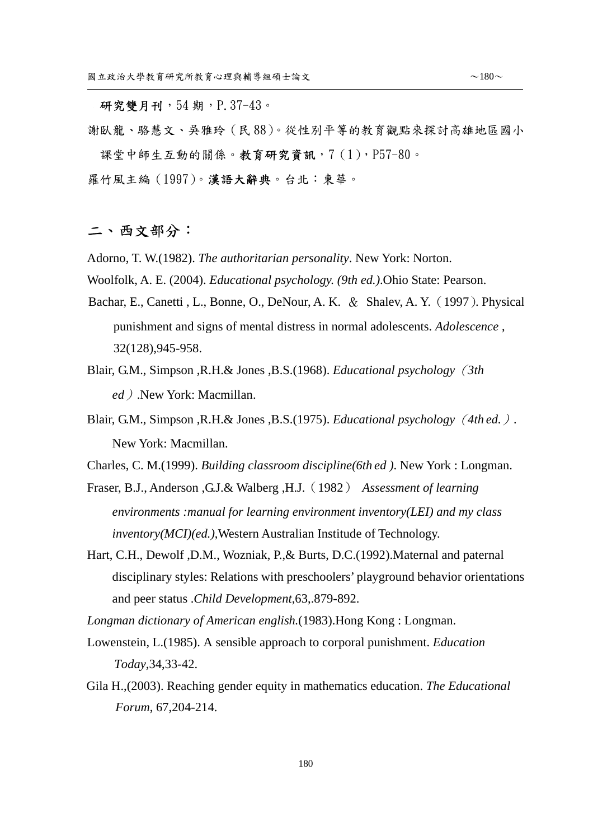謝臥龍、駱慧文、吳雅玲(民 88)。從性別平等的教育觀點來探討高雄地區國小 課堂中師生互動的關係。教育研究資訊,7(1),P57-80。

羅竹風主編(1997)。漢語大辭典。台北:東華。

## 二、西文部分:

 $\overline{a}$ 

Adorno, T. W.(1982). *The authoritarian personality*. New York: Norton.

Woolfolk, A. E. (2004). *Educational psychology. (9th ed.)*.Ohio State: Pearson.

- Bachar, E., Canetti , L., Bonne, O., DeNour, A. K. & Shalev, A. Y. (1997). Physical punishment and signs of mental distress in normal adolescents. *Adolescence* , 32(128),945-958.
- Blair, G.M., Simpson ,R.H.& Jones ,B.S.(1968). *Educational psychology*(*3th ed*).New York: Macmillan.
- Blair, G.M., Simpson ,R.H.& Jones ,B.S.(1975). *Educational psychology*(*4th ed.*)*.* New York: Macmillan.

Charles, C. M.(1999). *Building classroom discipline(6th ed )*. New York : Longman.

- Fraser, B.J., Anderson ,G.J.& Walberg ,H.J.(1982) *Assessment of learning environments :manual for learning environment inventory(LEI) and my class inventory(MCI)(ed.)*,Western Australian Institude of Technology.
- Hart, C.H., Dewolf ,D.M., Wozniak, P.,& Burts, D.C.(1992).Maternal and paternal disciplinary styles: Relations with preschoolers' playground behavior orientations and peer status .*Child Development*,63,.879-892.

*Longman dictionary of American english.*(1983).Hong Kong : Longman.

- Lowenstein, L.(1985). A sensible approach to corporal punishment. *Education Today*,34,33-42.
- Gila H.,(2003). Reaching gender equity in mathematics education. *The Educational Forum*, 67,204-214.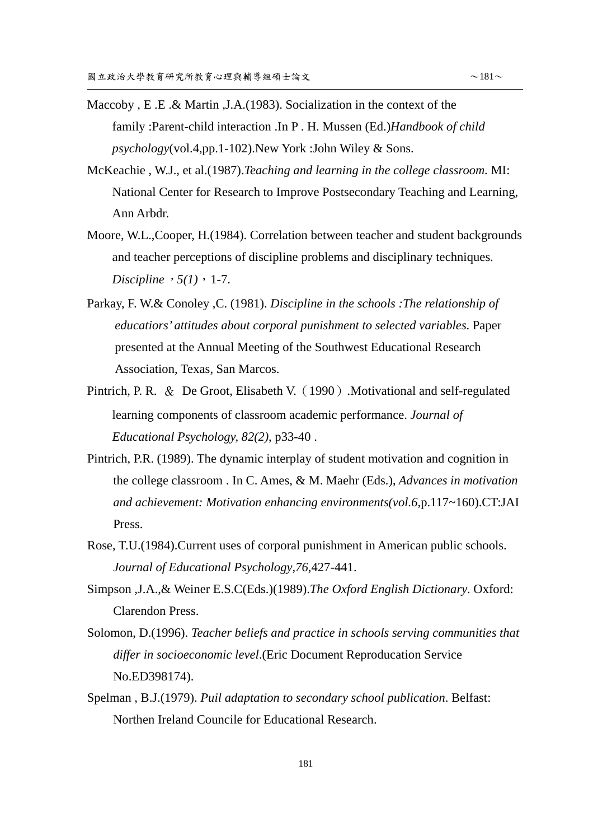- Maccoby , E .E .& Martin ,J.A.(1983). Socialization in the context of the family :Parent-child interaction .In P . H. Mussen (Ed.)*Handbook of child psychology*(vol.4,pp.1-102).New York :John Wiley & Sons.
- McKeachie , W.J., et al.(1987).*Teaching and learning in the college classroom.* MI: National Center for Research to Improve Postsecondary Teaching and Learning, Ann Arbdr.
- Moore, W.L.,Cooper, H.(1984). Correlation between teacher and student backgrounds and teacher perceptions of discipline problems and disciplinary techniques. *Discipline*,  $5(1)$ , 1-7.
- Parkay, F. W.& Conoley ,C. (1981). *Discipline in the schools :The relationship of educatiors' attitudes about corporal punishment to selected variables*. Paper presented at the Annual Meeting of the Southwest Educational Research Association, Texas, San Marcos.
- Pintrich, P. R. & De Groot, Elisabeth V. (1990). Motivational and self-regulated learning components of classroom academic performance. *Journal of Educational Psychology, 82(2)*, p33-40 .
- Pintrich, P.R. (1989). The dynamic interplay of student motivation and cognition in the college classroom . In C. Ames, & M. Maehr (Eds.), *Advances in motivation and achievement: Motivation enhancing environments(vol.6*,p.117~160).CT:JAI Press.
- Rose, T.U.(1984).Current uses of corporal punishment in American public schools. *Journal of Educational Psychology*,*76*,427-441.
- Simpson ,J.A.,& Weiner E.S.C(Eds.)(1989).*The Oxford English Dictionary*. Oxford: Clarendon Press.
- Solomon, D.(1996). *Teacher beliefs and practice in schools serving communities that differ in socioeconomic level*.(Eric Document Reproducation Service No.ED398174).
- Spelman , B.J.(1979). *Puil adaptation to secondary school publication*. Belfast: Northen Ireland Councile for Educational Research.